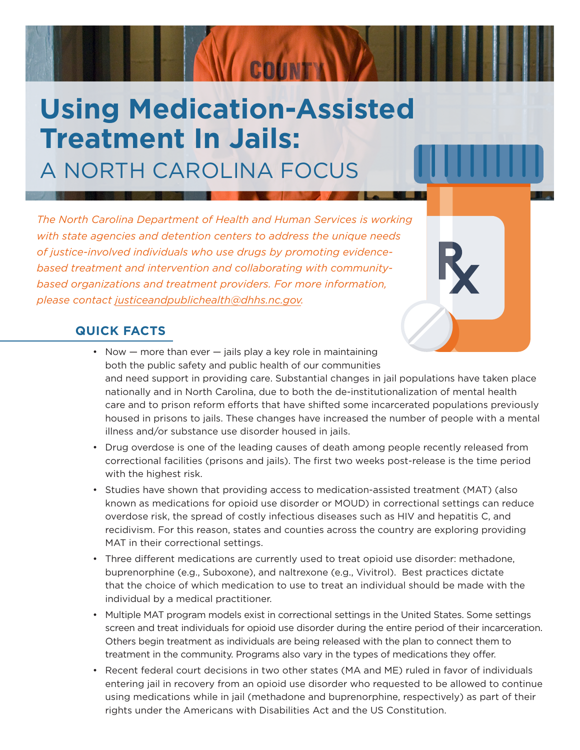# **Using Medication-Assisted Treatment In Jails:** A NORTH CAROLINA FOCUS

COUNTY

*The North Carolina Department of Health and Human Services is working with state agencies and detention centers to address the unique needs of justice-involved individuals who use drugs by promoting evidencebased treatment and intervention and collaborating with communitybased organizations and treatment providers. For more information, please contact [justiceandpublichealth@dhhs.nc.gov.](mailto:justiceandpublichealth%40dhhs.nc.gov?subject=)*

#### **QUICK FACTS**

- Now  $-$  more than ever  $-$  jails play a key role in maintaining both the public safety and public health of our communities and need support in providing care. Substantial changes in jail populations have taken place nationally and in North Carolina, due to both the de-institutionalization of mental health care and to prison reform efforts that have shifted some incarcerated populations previously housed in prisons to jails. These changes have increased the number of people with a mental illness and/or substance use disorder housed in jails.
- Drug overdose is one of the leading causes of death among people recently released from correctional facilities (prisons and jails). The first two weeks post-release is the time period with the highest risk.
- Studies have shown that providing access to medication-assisted treatment (MAT) (also known as medications for opioid use disorder or MOUD) in correctional settings can reduce overdose risk, the spread of costly infectious diseases such as HIV and hepatitis C, and recidivism. For this reason, states and counties across the country are exploring providing MAT in their correctional settings.
- Three different medications are currently used to treat opioid use disorder: methadone, buprenorphine (e.g., Suboxone), and naltrexone (e.g., Vivitrol). Best practices dictate that the choice of which medication to use to treat an individual should be made with the individual by a medical practitioner.
- Multiple MAT program models exist in correctional settings in the United States. Some settings screen and treat individuals for opioid use disorder during the entire period of their incarceration. Others begin treatment as individuals are being released with the plan to connect them to treatment in the community. Programs also vary in the types of medications they offer.
- Recent federal court decisions in two other states (MA and ME) ruled in favor of individuals entering jail in recovery from an opioid use disorder who requested to be allowed to continue using medications while in jail (methadone and buprenorphine, respectively) as part of their rights under the Americans with Disabilities Act and the US Constitution.